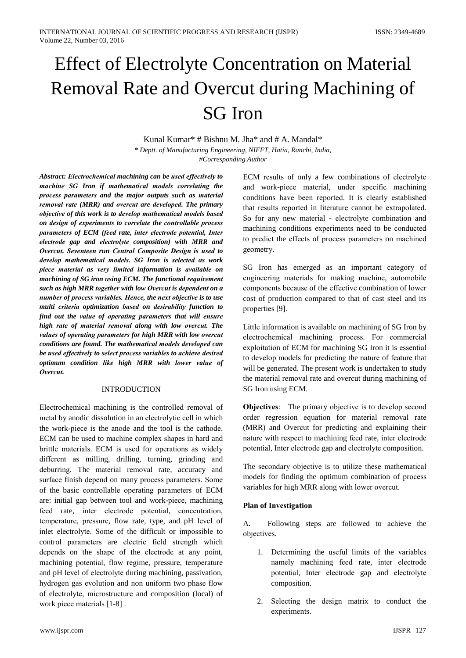# **Effect of Electrolyte Concentration on Material** Removal Rate and Overcut during Machining of **SG** Iron

Kunal Kumar\* # Bishnu M. Jha\* and # A. Mandal\* \* Deptt. of Manufacturing Engineering, NIFFT, Hatia, Ranchi, India, #Corresponding Author

Abstract: Electrochemical machining can be used effectively to machine SG Iron if mathematical models correlating the process parameters and the major outputs such as material removal rate (MRR) and overcut are developed. The primary objective of this work is to develop mathematical models based on design of experiments to correlate the controllable process parameters of ECM (feed rate, inter electrode potential, Inter electrode gap and electrolyte composition) with MRR and Overcut. Seventeen run Central Composite Design is used to develop mathematical models. SG Iron is selected as work piece material as very limited information is available on machining of SG iron using ECM. The functional requirement such as high MRR together with low Overcut is dependent on a number of process variables. Hence, the next objective is to use multi criteria optimization based on desirability function to find out the value of operating parameters that will ensure high rate of material removal along with low overcut. The values of operating parameters for high MRR with low overcut conditions are found. The mathematical models developed can be used effectively to select process variables to achieve desired optimum condition like high MRR with lower value of Overcut.

## **INTRODUCTION**

Electrochemical machining is the controlled removal of metal by anodic dissolution in an electrolytic cell in which the work-piece is the anode and the tool is the cathode. ECM can be used to machine complex shapes in hard and brittle materials. ECM is used for operations as widely different as milling, drilling, turning, grinding and deburring. The material removal rate, accuracy and surface finish depend on many process parameters. Some of the basic controllable operating parameters of ECM are: initial gap between tool and work-piece, machining feed rate, inter electrode potential, concentration, temperature, pressure, flow rate, type, and pH level of inlet electrolyte. Some of the difficult or impossible to control parameters are electric field strength which depends on the shape of the electrode at any point, machining potential, flow regime, pressure, temperature and pH level of electrolyte during machining, passivation, hydrogen gas evolution and non uniform two phase flow of electrolyte, microstructure and composition (local) of work piece materials [1-8].

ECM results of only a few combinations of electrolyte and work-piece material, under specific machining conditions have been reported. It is clearly established that results reported in literature cannot be extrapolated. So for any new material - electrolyte combination and machining conditions experiments need to be conducted to predict the effects of process parameters on machined geometry.

SG Iron has emerged as an important category of engineering materials for making machine, automobile components because of the effective combination of lower cost of production compared to that of cast steel and its properties [9].

Little information is available on machining of SG Iron by electrochemical machining process. For commercial exploitation of ECM for machining SG Iron it is essential to develop models for predicting the nature of feature that will be generated. The present work is undertaken to study the material removal rate and overcut during machining of SG Iron using ECM.

**Objectives:** The primary objective is to develop second order regression equation for material removal rate (MRR) and Overcut for predicting and explaining their nature with respect to machining feed rate, inter electrode potential, Inter electrode gap and electrolyte composition.

The secondary objective is to utilize these mathematical models for finding the optimum combination of process variables for high MRR along with lower overcut.

# **Plan of Investigation**

A. Following steps are followed to achieve the objectives.

- 1. Determining the useful limits of the variables namely machining feed rate, inter electrode potential, Inter electrode gap and electrolyte composition.
- 2. Selecting the design matrix to conduct the experiments.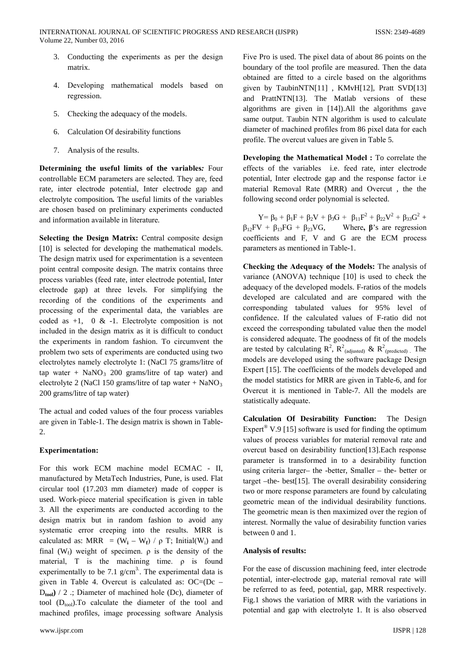- 3. Conducting the experiments as per the design matrix.
- 4. Developing mathematical models based on regression.
- 5. Checking the adequacy of the models.
- 6. Calculation Of desirability functions
- 7. Analysis of the results.

Determining the useful limits of the variables: Four controllable ECM parameters are selected. They are, feed rate, inter electrode potential, Inter electrode gap and electrolyte composition. The useful limits of the variables are chosen based on preliminary experiments conducted and information available in literature.

Selecting the Design Matrix: Central composite design [10] is selected for developing the mathematical models. The design matrix used for experimentation is a seventeen point central composite design. The matrix contains three process variables (feed rate, inter electrode potential, Inter electrode gap) at three levels. For simplifying the recording of the conditions of the experiments and processing of the experimental data, the variables are coded as  $+1$ , 0 &  $-1$ . Electrolyte composition is not included in the design matrix as it is difficult to conduct the experiments in random fashion. To circumvent the problem two sets of experiments are conducted using two electrolytes namely electrolyte 1: (NaCl 75 grams/litre of tap water +  $NaNO_3$  200 grams/litre of tap water) and electrolyte 2 (NaCl 150 grams/litre of tap water + NaNO<sub>3</sub> 200 grams/litre of tap water)

The actual and coded values of the four process variables are given in Table-1. The design matrix is shown in Table-2.

# **Experimentation:**

For this work ECM machine model ECMAC - II, manufactured by MetaTech Industries, Pune, is used. Flat circular tool (17.203 mm diameter) made of copper is used. Work-piece material specification is given in table 3. All the experiments are conducted according to the design matrix but in random fashion to avoid any systematic error creeping into the results. MRR is calculated as: MRR =  $(W_i - W_f) / \rho T$ ; Initial(W<sub>i</sub>) and final ( $W_f$ ) weight of specimen.  $\rho$  is the density of the material. T is the machining time, o is found experimentally to be 7.1  $g/cm<sup>3</sup>$ . The experimental data is given in Table 4. Overcut is calculated as: OC=(Dc - $D_{\text{tool}}$  / 2 :; Diameter of machined hole (Dc), diameter of tool  $(D_{\text{tool}})$ . To calculate the diameter of the tool and machined profiles, image processing software Analysis Five Pro is used. The pixel data of about 86 points on the boundary of the tool profile are measured. Then the data obtained are fitted to a circle based on the algorithms given by TaubinNTN[11], KMvH[12], Pratt SVD[13] and PrattNTN[13]. The Matlab versions of these algorithms are given in  $[14]$ ). All the algorithms gave same output. Taubin NTN algorithm is used to calculate diameter of machined profiles from 86 pixel data for each profile. The overcut values are given in Table 5.

Developing the Mathematical Model: To correlate the effects of the variables i.e. feed rate, inter electrode potential, Inter electrode gap and the response factor i.e material Removal Rate (MRR) and Overcut, the the following second order polynomial is selected.

 $Y = \beta_0 + \beta_1 F + \beta_2 V + \beta_3 G + \beta_{11} F^2 + \beta_{22} V^2 + \beta_{33} G^2 +$  $\beta_{12}$ FV +  $\beta_{13}$ FG +  $\beta_{23}$ VG, Where,  $\beta$ 's are regression coefficients and F, V and G are the ECM process parameters as mentioned in Table-1.

Checking the Adequacy of the Models: The analysis of variance (ANOVA) technique [10] is used to check the adequacy of the developed models. F-ratios of the models developed are calculated and are compared with the corresponding tabulated values for 95% level of confidence. If the calculated values of F-ratio did not exceed the corresponding tabulated value then the model is considered adequate. The goodness of fit of the models are tested by calculating  $R^2$ ,  $R^2$ <sub>(adjusted)</sub> &  $R^2$ <sub>(predicted)</sub> The models are developed using the software package Design Expert [15]. The coefficients of the models developed and the model statistics for MRR are given in Table-6, and for Overcut it is mentioned in Table-7. All the models are statistically adequate.

Calculation Of Desirability Function: The Design Expert<sup>®</sup> V.9 [15] software is used for finding the optimum values of process variables for material removal rate and overcut based on desirability function [13]. Each response parameter is transformed in to a desirability function using criteria larger- the -better, Smaller  $-$  the better or target  $-$ the- best[15]. The overall desirability considering two or more response parameters are found by calculating geometric mean of the individual desirability functions. The geometric mean is then maximized over the region of interest. Normally the value of desirability function varies between 0 and 1.

## Analysis of results:

For the ease of discussion machining feed, inter electrode potential, inter-electrode gap, material removal rate will be referred to as feed, potential, gap, MRR respectively. Fig.1 shows the variation of MRR with the variations in potential and gap with electrolyte 1. It is also observed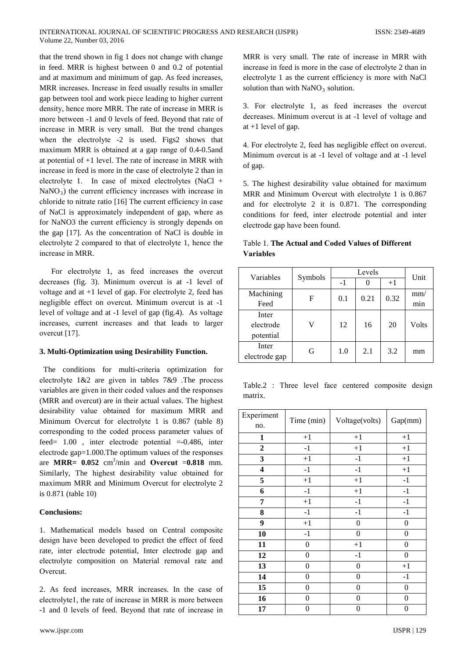that the trend shown in fig 1 does not change with change in feed. MRR is highest between  $0$  and  $0.2$  of potential and at maximum and minimum of gap. As feed increases, MRR increases. Increase in feed usually results in smaller gap between tool and work piece leading to higher current density, hence more MRR. The rate of increase in MRR is more between -1 and 0 levels of feed. Beyond that rate of increase in MRR is very small. But the trend changes when the electrolyte -2 is used. Figs2 shows that maximum MRR is obtained at a gap range of 0.4-0.5 and at potential of  $+1$  level. The rate of increase in MRR with increase in feed is more in the case of electrolyte 2 than in electrolyte 1. In case of mixed electrolytes  $(NaCl +$ NaNO<sub>3</sub>) the current efficiency increases with increase in chloride to nitrate ratio [16] The current efficiency in case of NaCl is approximately independent of gap, where as for NaNO3 the current efficiency is strongly depends on the gap [17]. As the concentration of NaCl is double in electrolyte 2 compared to that of electrolyte 1, hence the increase in MRR.

For electrolyte 1, as feed increases the overcut decreases (fig. 3). Minimum overcut is at -1 level of voltage and at  $+1$  level of gap. For electrolyte 2, feed has negligible effect on overcut. Minimum overcut is at -1 level of voltage and at -1 level of gap (fig.4). As voltage increases, current increases and that leads to larger overcut [17].

## 3. Multi-Optimization using Desirability Function.

The conditions for multi-criteria optimization for electrolyte  $1&2$  are given in tables  $7&89$ . The process variables are given in their coded values and the responses (MRR and overcut) are in their actual values. The highest desirability value obtained for maximum MRR and Minimum Overcut for electrolyte 1 is 0.867 (table 8) corresponding to the coded process parameter values of feed=  $1.00$ , inter electrode potential =-0.486, inter electrode gap=1.000. The optimum values of the responses are MRR=  $0.052$  cm<sup>3</sup>/min and Overcut = 0.818 mm. Similarly, The highest desirability value obtained for maximum MRR and Minimum Overcut for electrolyte 2 is 0.871 (table 10)

## Conclusions<sup>.</sup>

1. Mathematical models based on Central composite design have been developed to predict the effect of feed rate, inter electrode potential, Inter electrode gap and electrolyte composition on Material removal rate and Overcut.

2. As feed increases, MRR increases. In the case of electrolyte1, the rate of increase in MRR is more between -1 and 0 levels of feed. Beyond that rate of increase in

MRR is very small. The rate of increase in MRR with increase in feed is more in the case of electrolyte 2 than in electrolyte 1 as the current efficiency is more with NaCl solution than with  $NaNO<sub>3</sub>$  solution.

3. For electrolyte 1, as feed increases the overcut decreases. Minimum overcut is at -1 level of voltage and at  $+1$  level of gap.

4. For electrolyte 2, feed has negligible effect on overcut. Minimum overcut is at -1 level of voltage and at -1 level of gap.

5. The highest desirability value obtained for maximum MRR and Minimum Overcut with electrolyte 1 is 0.867 and for electrolyte 2 it is  $0.871$ . The corresponding conditions for feed, inter electrode potential and inter electrode gap have been found.

|           | Table 1. <b>The Actual and Coded Values of Different</b> |
|-----------|----------------------------------------------------------|
| Variables |                                                          |

| Variables     | Symbols |      | Unit |      |       |
|---------------|---------|------|------|------|-------|
|               |         | $-1$ |      | $+1$ |       |
| Machining     | F       | 0.1  | 0.21 | 0.32 | mm/   |
| Feed          |         |      |      |      | min   |
| Inter         |         |      |      |      |       |
| electrode     | V       | 12   | 16   | 20   | Volts |
| potential     |         |      |      |      |       |
| Inter         | G       | 1.0  | 2.1  | 3.2  | mm    |
| electrode gap |         |      |      |      |       |

Table.2 : Three level face centered composite design matrix.

| Experiment<br>no.       | Time (min)       | Voltage(volts)   | Gap(mm)          |
|-------------------------|------------------|------------------|------------------|
| $\mathbf{1}$            | $+1$             | $+1$             | $+1$             |
| $\boldsymbol{2}$        | $-1$             | $+1$             | $+1$             |
| 3                       | $+1$             | $-1$             | $+1$             |
| $\overline{\mathbf{4}}$ | $-1$             | $-1$             | $+1$             |
| 5                       | $+1$             | $+1$             | $-1$             |
| 6                       | $-1$             | $+1$             | $-1$             |
| 7                       | $+1$             | $-1$             | $^{\mbox{-}1}$   |
| 8                       | $^{\rm -1}$      | $-1$             | $-1$             |
| 9                       | $+1$             | $\boldsymbol{0}$ | $\boldsymbol{0}$ |
| 10                      | $-1$             | $\boldsymbol{0}$ | $\boldsymbol{0}$ |
| 11                      | 0                | $+1$             | $\boldsymbol{0}$ |
| 12                      | $\boldsymbol{0}$ | $-1$             | $\overline{0}$   |
| 13                      | 0                | $\boldsymbol{0}$ | $+1$             |
| 14                      | 0                | 0                | $-1$             |
| 15                      | 0                | $\boldsymbol{0}$ | 0                |
| 16                      | 0                | $\boldsymbol{0}$ | 0                |
| 17                      | 0                | $\boldsymbol{0}$ | 0                |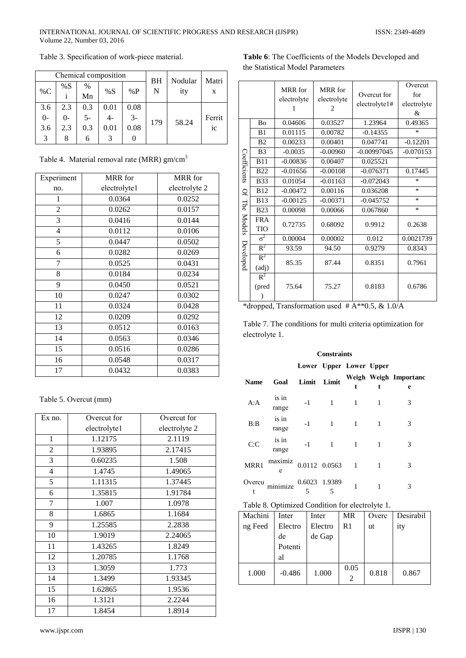#### INTERNATIONAL JOURNAL OF SCIENTIFIC PROGRESS AND RESEARCH (IJSPR) Volume 22, Number 03, 2016

|       | Chemical composition |       |      |      |                | Nodular | Matri  |
|-------|----------------------|-------|------|------|----------------|---------|--------|
| $\%C$ | %S                   | $\%$  | %S   | %P   | <b>BH</b><br>N | ity     | X      |
|       |                      | Mn    |      |      |                |         |        |
| 3.6   | 2.3                  | 0.3   | 0.01 | 0.08 |                |         |        |
| $0-$  | $\Omega$             | $5 -$ |      | $3-$ | 179            | 58.24   | Ferrit |
| 3.6   | 2.3                  | 0.3   | 0.01 | 0.08 |                |         | ic     |
| 3     |                      | 6     |      | O    |                |         |        |

# Table 3. Specification of work-piece material.

Table 4. Material removal rate (MRR) gm/cm<sup>3</sup>

| Experiment | MRR for      | MRR for       |
|------------|--------------|---------------|
| no.        | electrolyte1 | electrolyte 2 |
| 1          | 0.0364       | 0.0252        |
| 2          | 0.0262       | 0.0157        |
| 3          | 0.0416       | 0.0144        |
| 4          | 0.0112       | 0.0106        |
| 5          | 0.0447       | 0.0502        |
| 6          | 0.0282       | 0.0269        |
| 7          | 0.0525       | 0.0431        |
| 8          | 0.0184       | 0.0234        |
| 9          | 0.0450       | 0.0521        |
| 10         | 0.0247       | 0.0302        |
| 11         | 0.0324       | 0.0428        |
| 12         | 0.0209       | 0.0292        |
| 13         | 0.0512       | 0.0163        |
| 14         | 0.0563       | 0.0346        |
| 15         | 0.0516       | 0.0286        |
| 16         | 0.0548       | 0.0317        |
| 17         | 0.0432       | 0.0383        |

Table 5. Overcut (mm)

| Ex no.         | Overcut for  | Overcut for   |
|----------------|--------------|---------------|
|                | electrolyte1 | electrolyte 2 |
| 1              | 1.12175      | 2.1119        |
| $\overline{2}$ | 1.93895      | 2.17415       |
| 3              | 0.60235      | 1.508         |
| 4              | 1.4745       | 1.49065       |
| 5              | 1.11315      | 1.37445       |
| 6              | 1.35815      | 1.91784       |
| 7              | 1.007        | 1.0978        |
| 8              | 1.6865       | 1.1684        |
| 9              | 1.25585      | 2.2838        |
| 10             | 1.9019       | 2.24065       |
| 11             | 1.43265      | 1.8249        |
| 12             | 1.20785      | 1.1768        |
| 13             | 1.3059       | 1.773         |
| 14             | 1.3499       | 1.93345       |
| 15             | 1.62865      | 1.9536        |
| 16             | 1.3121       | 2.2244        |
| 17             | 1.8454       | 1.8914        |

Table 6: The Coefficients of the Models Developed and the Statistical Model Parameters

|              |                   | MRR for<br>electrolyte<br>1 | <b>MRR</b> for<br>electrolyte<br>2 | Overcut for<br>electrolyte1# | Overcut<br>for<br>electrolyte<br>& |
|--------------|-------------------|-----------------------------|------------------------------------|------------------------------|------------------------------------|
|              | <b>Bo</b>         | 0.04606                     | 0.03527                            | 1.23964                      | 0.49365                            |
|              | B <sub>1</sub>    | 0.01115                     | 0.00782                            | $-0.14355$                   | $\ast$                             |
|              | B <sub>2</sub>    | 0.00233                     | 0.00401                            | 0.047741                     | $-0.12201$                         |
|              | B <sub>3</sub>    | $-0.0035$                   | $-0.00960$                         | $-0.00997045$                | $-0.070153$                        |
|              | <b>B11</b>        | $-0.00836$                  | 0.00407                            | 0.025521                     |                                    |
| Coefficients | <b>B22</b>        | $-0.01656$                  | $-0.00108$                         | $-0.076371$                  | 0.17445                            |
|              | <b>B33</b>        | 0.01054                     | $-0.01163$                         | $-0.072043$                  | $\ast$                             |
| Ğ            | <b>B12</b>        | $-0.00472$                  | 0.00116                            | 0.036208                     | $\ast$                             |
| The          | <b>B13</b>        | $-0.00125$                  | $-0.00371$                         | $-0.045752$                  | $\ast$                             |
|              | <b>B23</b>        | 0.00098                     | 0.00066                            | 0.067860                     | $\ast$                             |
| Models       | <b>FRA</b><br>TIO | 0.72735                     | 0.68092                            | 0.9912                       | 0.2638                             |
|              | $\sigma^2$        | 0.00004                     | 0.00002                            | 0.012                        | 0.0021739                          |
|              | $R^2$             | 93.59                       | 94.50                              | 0.9279                       | 0.8343                             |
| Developed    | $R^2$<br>(adj)    | 85.35                       | 87.44                              | 0.8351                       | 0.7961                             |
|              | $R^2$<br>(pred    | 75.64                       | 75.27                              | 0.8183                       | 0.6786                             |

\*dropped, Transformation used  $#A^{**}0.5, \& 1.0/A$ 

Table 7. The conditions for multi criteria optimization for electrolyte 1.

## **Constraints**

#### Lower Upper Lower Upper

| <b>Name</b> | Goal           | Limit Limit        |               | t            | t. | Weigh Weigh Importanc<br>e |
|-------------|----------------|--------------------|---------------|--------------|----|----------------------------|
| A:A         | is in<br>range | $-1$               | 1             | 1            | 1  | 3                          |
| B:B         | is in<br>range | $-1$               |               |              |    | 3                          |
| C: C        | is in<br>range | $-1$               |               | 1            |    | 3                          |
| MRR1        | maximiz<br>e   |                    | 0.0112 0.0563 | $\mathbf{1}$ | 1  | 3                          |
| Overcu<br>t | minimize       | 0.6023 1.9389<br>5 | - 5           |              |    |                            |

# Table 8. Optimized Condition for electrolyte 1.

| Machini | Inter    | Inter   | <b>MR</b> | Overc | Desirabil |
|---------|----------|---------|-----------|-------|-----------|
| ng Feed | Electro  | Electro | R1        | ut    | ity       |
|         | de       | de Gap  |           |       |           |
|         | Potenti  |         |           |       |           |
|         | al       |         |           |       |           |
| 1.000   | $-0.486$ | 1.000   | 0.05      | 0.818 | 0.867     |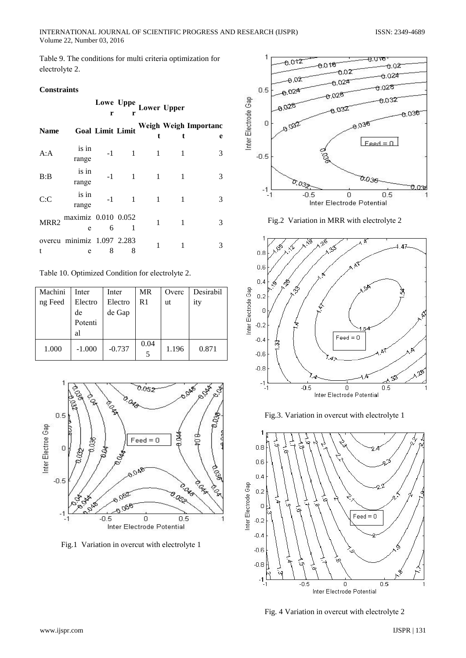Table 9. The conditions for multi criteria optimization for electrolyte 2.

#### **Constraints**

|                  |                                 | r                       | Lowe Uppe<br>r |   | <b>Lower Upper</b> |                            |
|------------------|---------------------------------|-------------------------|----------------|---|--------------------|----------------------------|
| <b>Name</b>      |                                 | <b>Goal Limit Limit</b> |                |   |                    | Weigh Weigh Importanc<br>e |
| A:A              | is in<br>range                  | $-1$                    | 1              | 1 | 1                  | 3                          |
| B:B              | is in<br>range                  | $-1$                    | 1              | 1 |                    | 3                          |
| C: C             | is in<br>range                  | $-1$                    | 1              | 1 | 1                  | 3                          |
| MRR <sub>2</sub> | maximiz 0.010 0.052<br>e        | 6                       |                | 1 | 1                  | 3                          |
|                  | overcu minimiz 1.097 2.283<br>e | 8                       | 8              | 1 | 1                  | 3                          |

Table 10. Optimized Condition for electrolyte 2.

| Machini | Inter    | Inter    | <b>MR</b> | Overc | Desirabil |
|---------|----------|----------|-----------|-------|-----------|
| ng Feed | Electro  | Electro  | R1        | ut    | ity       |
|         | de       | de Gap   |           |       |           |
|         | Potenti  |          |           |       |           |
|         | al       |          |           |       |           |
| 1.000   | $-1.000$ | $-0.737$ | 0.04<br>5 | 1.196 | 0.871     |



Fig.1 Variation in overcut with electrolyte 1







Fig.3. Variation in overcut with electrolyte 1



Fig. 4 Variation in overcut with electrolyte 2